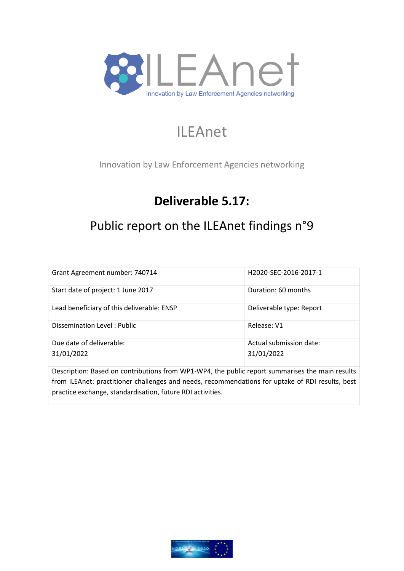

# ILEAnet

Innovation by Law Enforcement Agencies networking

# **Deliverable 5.17:**

# Public report on the ILEAnet findings n°9

| Grant Agreement number: 740714             | H2020-SEC-2016-2017-1                 |
|--------------------------------------------|---------------------------------------|
| Start date of project: 1 June 2017         | Duration: 60 months                   |
| Lead beneficiary of this deliverable: ENSP | Deliverable type: Report              |
| Dissemination Level: Public                | Release: V1                           |
| Due date of deliverable:<br>31/01/2022     | Actual submission date:<br>31/01/2022 |
|                                            |                                       |

Description: Based on contributions from WP1-WP4, the public report summarises the main results from ILEAnet: practitioner challenges and needs, recommendations for uptake of RDI results, best practice exchange, standardisation, future RDI activities.

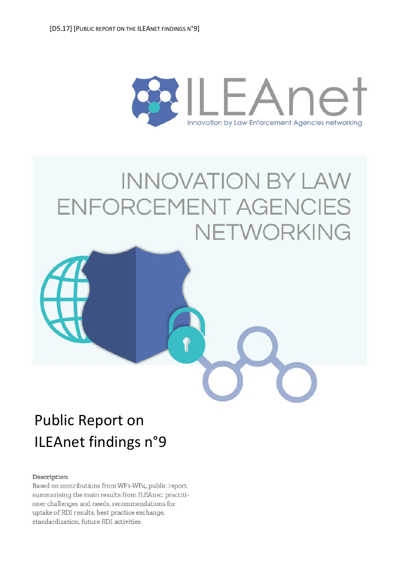

# **INNOVATION BY LAW** ENFORCEMENT AGENCIES NETWORKING



#### Description

Based on contributions from WP1-WP4, public report summarising the main results from ILEAnet: practitioner challenges and needs, recommendations for uptake of RDI results, best practice exchange, standardization, future RDI activities.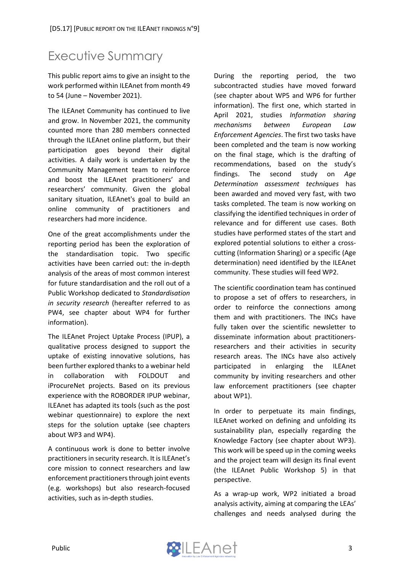# <span id="page-2-0"></span>Executive Summary

This public report aims to give an insight to the work performed within ILEAnet from month 49 to 54 (June – November 2021).

The ILEAnet Community has continued to live and grow. In November 2021, the community counted more than 280 members connected through the ILEAnet online platform, but their participation goes beyond their digital activities. A daily work is undertaken by the Community Management team to reinforce and boost the ILEAnet practitioners' and researchers' community. Given the global sanitary situation, ILEAnet's goal to build an online community of practitioners and researchers had more incidence.

One of the great accomplishments under the reporting period has been the exploration of the standardisation topic. Two specific activities have been carried out: the in-depth analysis of the areas of most common interest for future standardisation and the roll out of a Public Workshop dedicated to *Standardisation in security research* (hereafter referred to as PW4, see chapter about WP4 for further information).

The ILEAnet Project Uptake Process (IPUP), a qualitative process designed to support the uptake of existing innovative solutions, has been further explored thanks to a webinar held in collaboration with FOLDOUT and iProcureNet projects. Based on its previous experience with the ROBORDER IPUP webinar, ILEAnet has adapted its tools (such as the post webinar questionnaire) to explore the next steps for the solution uptake (see chapters about WP3 and WP4).

A continuous work is done to better involve practitioners in security research. It is ILEAnet's core mission to connect researchers and law enforcement practitioners through joint events (e.g. workshops) but also research-focused activities, such as in-depth studies.

During the reporting period, the two subcontracted studies have moved forward (see chapter about WP5 and WP6 for further information). The first one, which started in April 2021, studies *Information sharing mechanisms between European Law Enforcement Agencies*. The first two tasks have been completed and the team is now working on the final stage, which is the drafting of recommendations, based on the study's findings. The second study on *Age Determination assessment techniques* has been awarded and moved very fast, with two tasks completed. The team is now working on classifying the identified techniques in order of relevance and for different use cases. Both studies have performed states of the start and explored potential solutions to either a crosscutting (Information Sharing) or a specific (Age determination) need identified by the ILEAnet community. These studies will feed WP2.

The scientific coordination team has continued to propose a set of offers to researchers, in order to reinforce the connections among them and with practitioners. The INCs have fully taken over the scientific newsletter to disseminate information about practitionersresearchers and their activities in security research areas. The INCs have also actively participated in enlarging the ILEAnet community by inviting researchers and other law enforcement practitioners (see chapter about WP1).

In order to perpetuate its main findings, ILEAnet worked on defining and unfolding its sustainability plan, especially regarding the Knowledge Factory (see chapter about WP3). This work will be speed up in the coming weeks and the project team will design its final event (the ILEAnet Public Workshop 5) in that perspective.

As a wrap-up work, WP2 initiated a broad analysis activity, aiming at comparing the LEAs' challenges and needs analysed during the

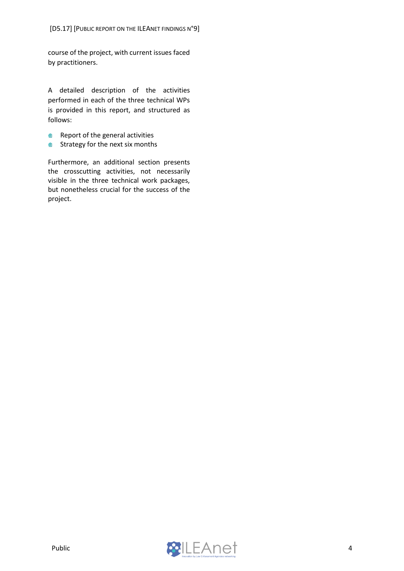course of the project, with current issues faced by practitioners.

A detailed description of the activities performed in each of the three technical WPs is provided in this report, and structured as follows:

- $\qquad \qquad \oplus$ Report of the general activities
- **Strategy for the next six months**

Furthermore, an additional section presents the crosscutting activities, not necessarily visible in the three technical work packages, but nonetheless crucial for the success of the project.

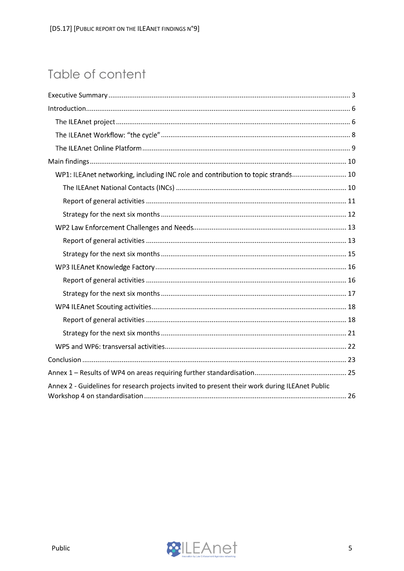# Table of content

| WP1: ILEAnet networking, including INC role and contribution to topic strands 10               |
|------------------------------------------------------------------------------------------------|
|                                                                                                |
|                                                                                                |
|                                                                                                |
|                                                                                                |
|                                                                                                |
|                                                                                                |
|                                                                                                |
|                                                                                                |
|                                                                                                |
|                                                                                                |
|                                                                                                |
|                                                                                                |
|                                                                                                |
|                                                                                                |
|                                                                                                |
| Annex 2 - Guidelines for research projects invited to present their work during ILEAnet Public |

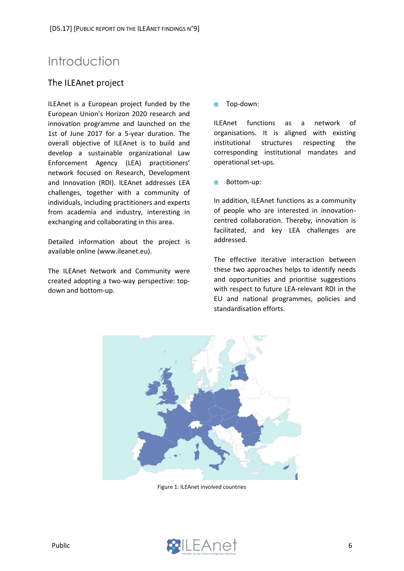# <span id="page-5-0"></span>Introduction

# <span id="page-5-1"></span>The ILEAnet project

ILEAnet is a European project funded by the European Union's Horizon 2020 research and innovation programme and launched on the 1st of June 2017 for a 5-year duration. The overall objective of ILEAnet is to build and develop a sustainable organizational Law Enforcement Agency (LEA) practitioners' network focused on Research, Development and Innovation (RDI). ILEAnet addresses LEA challenges, together with a community of individuals, including practitioners and experts from academia and industry, interesting in exchanging and collaborating in this area.

Detailed information about the project is available online (www.ileanet.eu).

The ILEAnet Network and Community were created adopting a two-way perspective: topdown and bottom-up.

Top-down:  $\blacksquare$ 

ILEAnet functions as a network of organisations. It is aligned with existing institutional structures respecting the corresponding institutional mandates and operational set-ups.

Bottom-up: ⋒

In addition, ILEAnet functions as a community of people who are interested in innovationcentred collaboration. Thereby, innovation is facilitated, and key LEA challenges are addressed.

The effective iterative interaction between these two approaches helps to identify needs and opportunities and prioritise suggestions with respect to future LEA-relevant RDI in the EU and national programmes, policies and standardisation efforts.



Figure 1: ILEAnet involved countries

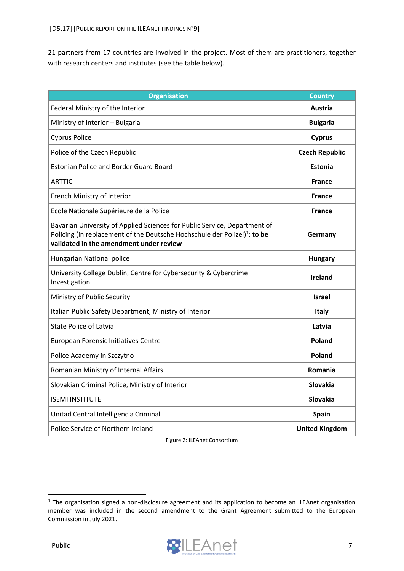21 partners from 17 countries are involved in the project. Most of them are practitioners, together with research centers and institutes (see the table below).

| <b>Organisation</b>                                                                                                                                                                                           | <b>Country</b>        |
|---------------------------------------------------------------------------------------------------------------------------------------------------------------------------------------------------------------|-----------------------|
| Federal Ministry of the Interior                                                                                                                                                                              | Austria               |
| Ministry of Interior - Bulgaria                                                                                                                                                                               | <b>Bulgaria</b>       |
| <b>Cyprus Police</b>                                                                                                                                                                                          | <b>Cyprus</b>         |
| Police of the Czech Republic                                                                                                                                                                                  | <b>Czech Republic</b> |
| <b>Estonian Police and Border Guard Board</b>                                                                                                                                                                 | <b>Estonia</b>        |
| <b>ARTTIC</b>                                                                                                                                                                                                 | <b>France</b>         |
| French Ministry of Interior                                                                                                                                                                                   | <b>France</b>         |
| Ecole Nationale Supérieure de la Police                                                                                                                                                                       | <b>France</b>         |
| Bavarian University of Applied Sciences for Public Service, Department of<br>Policing (in replacement of the Deutsche Hochschule der Polizei) <sup>1</sup> : to be<br>validated in the amendment under review | Germany               |
| Hungarian National police                                                                                                                                                                                     | <b>Hungary</b>        |
| University College Dublin, Centre for Cybersecurity & Cybercrime<br>Investigation                                                                                                                             | <b>Ireland</b>        |
| Ministry of Public Security                                                                                                                                                                                   | <b>Israel</b>         |
| Italian Public Safety Department, Ministry of Interior                                                                                                                                                        | Italy                 |
| <b>State Police of Latvia</b>                                                                                                                                                                                 | Latvia                |
| European Forensic Initiatives Centre                                                                                                                                                                          | <b>Poland</b>         |
| Police Academy in Szczytno                                                                                                                                                                                    | <b>Poland</b>         |
| Romanian Ministry of Internal Affairs                                                                                                                                                                         | Romania               |
| Slovakian Criminal Police, Ministry of Interior                                                                                                                                                               | <b>Slovakia</b>       |
| <b>ISEMI INSTITUTE</b>                                                                                                                                                                                        | <b>Slovakia</b>       |
| Unitad Central Intelligencia Criminal                                                                                                                                                                         | <b>Spain</b>          |
| Police Service of Northern Ireland                                                                                                                                                                            | <b>United Kingdom</b> |

Figure 2: ILEAnet Consortium

<sup>&</sup>lt;sup>1</sup> The organisation signed a non-disclosure agreement and its application to become an ILEAnet organisation member was included in the second amendment to the Grant Agreement submitted to the European Commission in July 2021.

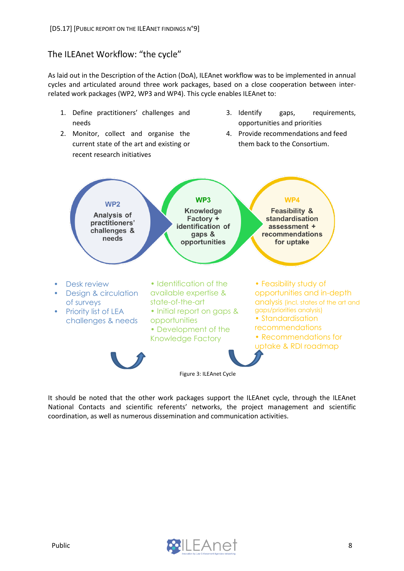# <span id="page-7-0"></span>The ILEAnet Workflow: "the cycle"

As laid out in the Description of the Action (DoA), ILEAnet workflow was to be implemented in annual cycles and articulated around three work packages, based on a close cooperation between interrelated work packages (WP2, WP3 and WP4). This cycle enables ILEAnet to:

- 1. Define practitioners' challenges and needs
- 2. Monitor, collect and organise the current state of the art and existing or recent research initiatives
- 3. Identify gaps, requirements, opportunities and priorities
- 4. Provide recommendations and feed them back to the Consortium.



It should be noted that the other work packages support the ILEAnet cycle, through the ILEAnet National Contacts and scientific referents' networks, the project management and scientific coordination, as well as numerous dissemination and communication activities.

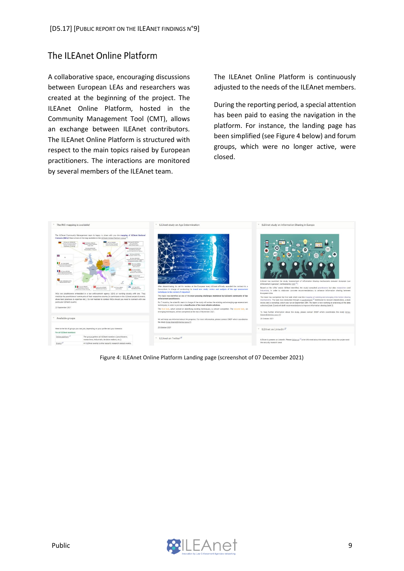# <span id="page-8-0"></span>The ILEAnet Online Platform

A collaborative space, encouraging discussions between European LEAs and researchers was created at the beginning of the project. The ILEAnet Online Platform, hosted in the Community Management Tool (CMT), allows an exchange between ILEAnet contributors. The ILEAnet Online Platform is structured with respect to the main topics raised by European practitioners. The interactions are monitored by several members of the ILEAnet team.

The ILEAnet Online Platform is continuously adjusted to the needs of the ILEAnet members.

During the reporting period, a special attention has been paid to easing the navigation in the platform. For instance, the landing page has been simplified (see Figure 4 below) and forum groups, which were no longer active, were closed.



Figure 4: ILEAnet Online Platform Landing page (screenshot of 07 December 2021)

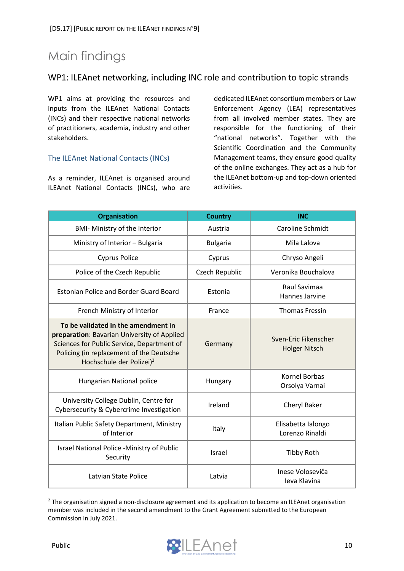# <span id="page-9-0"></span>Main findings

# <span id="page-9-1"></span>WP1: ILEAnet networking, including INC role and contribution to topic strands

WP1 aims at providing the resources and inputs from the ILEAnet National Contacts (INCs) and their respective national networks of practitioners, academia, industry and other stakeholders.

#### <span id="page-9-2"></span>The ILEAnet National Contacts (INCs)

As a reminder, ILEAnet is organised around ILEAnet National Contacts (INCs), who are

dedicated ILEAnet consortium members or Law Enforcement Agency (LEA) representatives from all involved member states. They are responsible for the functioning of their "national networks". Together with the Scientific Coordination and the Community Management teams, they ensure good quality of the online exchanges. They act as a hub for the ILEAnet bottom-up and top-down oriented activities.

| <b>Organisation</b>                                                                                                                                                                                                  | <b>Country</b>  | <b>INC</b>                                   |  |
|----------------------------------------------------------------------------------------------------------------------------------------------------------------------------------------------------------------------|-----------------|----------------------------------------------|--|
| <b>BMI- Ministry of the Interior</b>                                                                                                                                                                                 | Austria         | Caroline Schmidt                             |  |
| Ministry of Interior - Bulgaria                                                                                                                                                                                      | <b>Bulgaria</b> | Mila Lalova                                  |  |
| <b>Cyprus Police</b>                                                                                                                                                                                                 | Cyprus          | Chryso Angeli                                |  |
| Police of the Czech Republic                                                                                                                                                                                         | Czech Republic  | Veronika Bouchalova                          |  |
| <b>Estonian Police and Border Guard Board</b>                                                                                                                                                                        | Estonia         | Raul Savimaa<br>Hannes Jarvine               |  |
| French Ministry of Interior                                                                                                                                                                                          | France          | <b>Thomas Fressin</b>                        |  |
| To be validated in the amendment in<br>preparation: Bavarian University of Applied<br>Sciences for Public Service, Department of<br>Policing (in replacement of the Deutsche<br>Hochschule der Polizei) <sup>2</sup> | Germany         | Sven-Eric Fikenscher<br><b>Holger Nitsch</b> |  |
| Hungarian National police                                                                                                                                                                                            | Hungary         | <b>Kornel Borbas</b><br>Orsolya Varnai       |  |
| University College Dublin, Centre for<br>Cybersecurity & Cybercrime Investigation                                                                                                                                    | Ireland         | Cheryl Baker                                 |  |
| Italian Public Safety Department, Ministry<br>of Interior                                                                                                                                                            | Italy           | Elisabetta Ialongo<br>Lorenzo Rinaldi        |  |
| Israel National Police -Ministry of Public<br>Security                                                                                                                                                               | Israel          | <b>Tibby Roth</b>                            |  |
| Latvian State Police                                                                                                                                                                                                 | Latvia          | Inese Voloseviča<br><b>Ieva Klavina</b>      |  |

<sup>&</sup>lt;sup>2</sup> The organisation signed a non-disclosure agreement and its application to become an ILEAnet organisation member was included in the second amendment to the Grant Agreement submitted to the European Commission in July 2021.

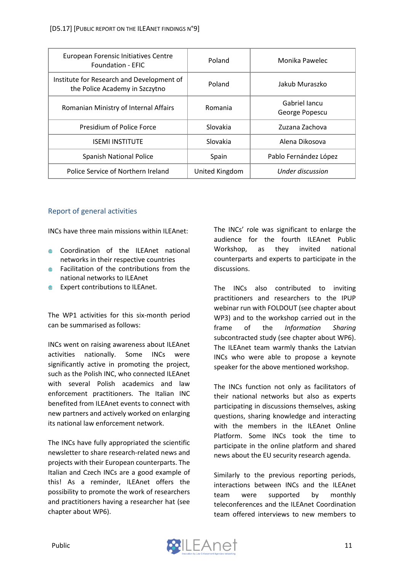| European Forensic Initiatives Centre<br><b>Foundation - EFIC</b>            | Poland         | Monika Pawelec                  |  |
|-----------------------------------------------------------------------------|----------------|---------------------------------|--|
| Institute for Research and Development of<br>the Police Academy in Szczytno | Poland         | Jakub Muraszko                  |  |
| Romanian Ministry of Internal Affairs                                       | Romania        | Gabriel Jancu<br>George Popescu |  |
| Presidium of Police Force                                                   | Slovakia       | Zuzana Zachova                  |  |
| <b>ISEMI INSTITUTE</b>                                                      | Slovakia       | Alena Dikosova                  |  |
| <b>Spanish National Police</b>                                              | Spain          | Pablo Fernández López           |  |
| Police Service of Northern Ireland                                          | United Kingdom | Under discussion                |  |

### <span id="page-10-0"></span>Report of general activities

INCs have three main missions within ILEAnet:

- Coordination of the ILEAnet national networks in their respective countries
- **EXECUTE:** Facilitation of the contributions from the national networks to ILEAnet
- **Expert contributions to ILEAnet.**

The WP1 activities for this six-month period can be summarised as follows:

INCs went on raising awareness about ILEAnet activities nationally. Some INCs were significantly active in promoting the project, such as the Polish INC, who connected ILEAnet with several Polish academics and law enforcement practitioners. The Italian INC benefited from ILEAnet events to connect with new partners and actively worked on enlarging its national law enforcement network.

The INCs have fully appropriated the scientific newsletter to share research-related news and projects with their European counterparts. The Italian and Czech INCs are a good example of this! As a reminder, ILEAnet offers the possibility to promote the work of researchers and practitioners having a researcher hat (see chapter about WP6).

The INCs' role was significant to enlarge the audience for the fourth ILEAnet Public Workshop, as they invited national counterparts and experts to participate in the discussions.

The INCs also contributed to inviting practitioners and researchers to the IPUP webinar run with FOLDOUT (see chapter about WP3) and to the workshop carried out in the frame of the *Information Sharing* subcontracted study (see chapter about WP6). The ILEAnet team warmly thanks the Latvian INCs who were able to propose a keynote speaker for the above mentioned workshop.

The INCs function not only as facilitators of their national networks but also as experts participating in discussions themselves, asking questions, sharing knowledge and interacting with the members in the ILEAnet Online Platform. Some INCs took the time to participate in the online platform and shared news about the EU security research agenda.

Similarly to the previous reporting periods, interactions between INCs and the ILEAnet team were supported by monthly teleconferences and the ILEAnet Coordination team offered interviews to new members to

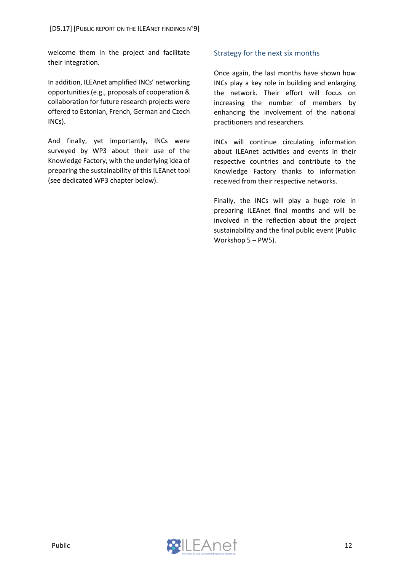welcome them in the project and facilitate their integration.

In addition, ILEAnet amplified INCs' networking opportunities (e.g., proposals of cooperation & collaboration for future research projects were offered to Estonian, French, German and Czech INCs).

And finally, yet importantly, INCs were surveyed by WP3 about their use of the Knowledge Factory, with the underlying idea of preparing the sustainability of this ILEAnet tool (see dedicated WP3 chapter below).

#### <span id="page-11-0"></span>Strategy for the next six months

Once again, the last months have shown how INCs play a key role in building and enlarging the network. Their effort will focus on increasing the number of members by enhancing the involvement of the national practitioners and researchers.

INCs will continue circulating information about ILEAnet activities and events in their respective countries and contribute to the Knowledge Factory thanks to information received from their respective networks.

Finally, the INCs will play a huge role in preparing ILEAnet final months and will be involved in the reflection about the project sustainability and the final public event (Public Workshop 5 – PW5).

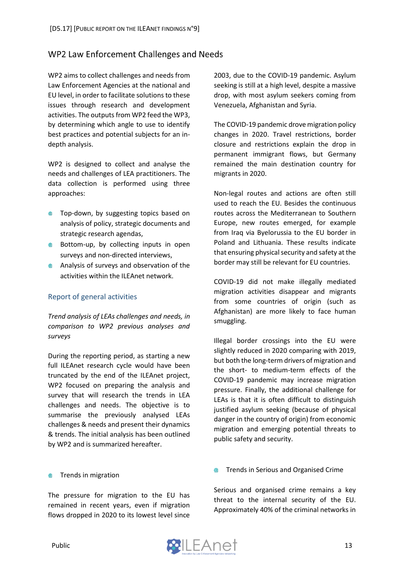# <span id="page-12-0"></span>WP2 Law Enforcement Challenges and Needs

WP2 aims to collect challenges and needs from Law Enforcement Agencies at the national and EU level, in order to facilitate solutions to these issues through research and development activities. The outputs from WP2 feed the WP3, by determining which angle to use to identify best practices and potential subjects for an indepth analysis.

WP2 is designed to collect and analyse the needs and challenges of LEA practitioners. The data collection is performed using three approaches:

- **Top-down, by suggesting topics based on** analysis of policy, strategic documents and strategic research agendas,
- **Bottom-up, by collecting inputs in open** surveys and non-directed interviews,
- **Analysis of surveys and observation of the** activities within the ILEAnet network.

#### <span id="page-12-1"></span>Report of general activities

*Trend analysis of LEAs challenges and needs, in comparison to WP2 previous analyses and surveys*

During the reporting period, as starting a new full ILEAnet research cycle would have been truncated by the end of the ILEAnet project, WP2 focused on preparing the analysis and survey that will research the trends in LEA challenges and needs. The objective is to summarise the previously analysed LEAs challenges & needs and present their dynamics & trends. The initial analysis has been outlined by WP2 and is summarized hereafter.

2003, due to the COVID-19 pandemic. Asylum seeking is still at a high level, despite a massive drop, with most asylum seekers coming from Venezuela, Afghanistan and Syria.

The COVID-19 pandemic drove migration policy changes in 2020. Travel restrictions, border closure and restrictions explain the drop in permanent immigrant flows, but Germany remained the main destination country for migrants in 2020.

Non-legal routes and actions are often still used to reach the EU. Besides the continuous routes across the Mediterranean to Southern Europe, new routes emerged, for example from Iraq via Byelorussia to the EU border in Poland and Lithuania. These results indicate that ensuring physical security and safety at the border may still be relevant for EU countries.

COVID-19 did not make illegally mediated migration activities disappear and migrants from some countries of origin (such as Afghanistan) are more likely to face human smuggling.

Illegal border crossings into the EU were slightly reduced in 2020 comparing with 2019, but both the long-term drivers of migration and the short- to medium-term effects of the COVID-19 pandemic may increase migration pressure. Finally, the additional challenge for LEAs is that it is often difficult to distinguish justified asylum seeking (because of physical danger in the country of origin) from economic migration and emerging potential threats to public safety and security.

#### Trends in migration ⋒

The pressure for migration to the EU has remained in recent years, even if migration flows dropped in 2020 to its lowest level since

Trends in Serious and Organised Crime

Serious and organised crime remains a key threat to the internal security of the EU. Approximately 40% of the criminal networks in

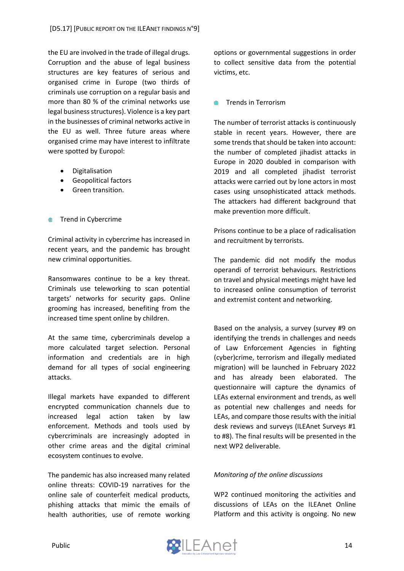the EU are involved in the trade of illegal drugs. Corruption and the abuse of legal business structures are key features of serious and organised crime in Europe (two thirds of criminals use corruption on a regular basis and more than 80 % of the criminal networks use legal business structures). Violence is a key part in the businesses of criminal networks active in the EU as well. Three future areas where organised crime may have interest to infiltrate were spotted by Europol:

- Digitalisation
- Geopolitical factors
- Green transition.
- Trend in Cybercrime  $\oplus$

Criminal activity in cybercrime has increased in recent years, and the pandemic has brought new criminal opportunities.

Ransomwares continue to be a key threat. Criminals use teleworking to scan potential targets' networks for security gaps. Online grooming has increased, benefiting from the increased time spent online by children.

At the same time, cybercriminals develop a more calculated target selection. Personal information and credentials are in high demand for all types of social engineering attacks.

Illegal markets have expanded to different encrypted communication channels due to increased legal action taken by law enforcement. Methods and tools used by cybercriminals are increasingly adopted in other crime areas and the digital criminal ecosystem continues to evolve.

The pandemic has also increased many related online threats: COVID-19 narratives for the online sale of counterfeit medical products, phishing attacks that mimic the emails of health authorities, use of remote working options or governmental suggestions in order to collect sensitive data from the potential victims, etc.

#### Trends in Terrorism and the state of

The number of terrorist attacks is continuously stable in recent years. However, there are some trends that should be taken into account: the number of completed jihadist attacks in Europe in 2020 doubled in comparison with 2019 and all completed jihadist terrorist attacks were carried out by lone actors in most cases using unsophisticated attack methods. The attackers had different background that make prevention more difficult.

Prisons continue to be a place of radicalisation and recruitment by terrorists.

The pandemic did not modify the modus operandi of terrorist behaviours. Restrictions on travel and physical meetings might have led to increased online consumption of terrorist and extremist content and networking.

Based on the analysis, a survey (survey #9 on identifying the trends in challenges and needs of Law Enforcement Agencies in fighting (cyber)crime, terrorism and illegally mediated migration) will be launched in February 2022 and has already been elaborated. The questionnaire will capture the dynamics of LEAs external environment and trends, as well as potential new challenges and needs for LEAs, and compare those results with the initial desk reviews and surveys (ILEAnet Surveys #1 to #8). The final results will be presented in the next WP2 deliverable.

#### *Monitoring of the online discussions*

WP2 continued monitoring the activities and discussions of LEAs on the ILEAnet Online Platform and this activity is ongoing. No new

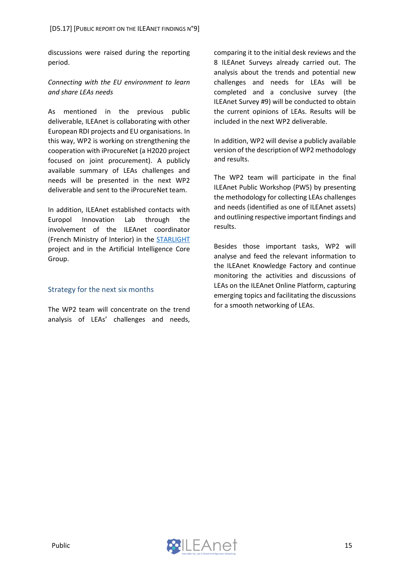discussions were raised during the reporting period.

#### *Connecting with the EU environment to learn and share LEAs needs*

As mentioned in the previous public deliverable, ILEAnet is collaborating with other European RDI projects and EU organisations. In this way, WP2 is working on strengthening the cooperation with iProcureNet (a H2020 project focused on joint procurement). A publicly available summary of LEAs challenges and needs will be presented in the next WP2 deliverable and sent to the iProcureNet team.

In addition, ILEAnet established contacts with Europol Innovation Lab through the involvement of the ILEAnet coordinator (French Ministry of Interior) in the [STARLIGHT](https://cordis.europa.eu/project/id/101021797) project and in the Artificial Intelligence Core Group.

#### <span id="page-14-0"></span>Strategy for the next six months

The WP2 team will concentrate on the trend analysis of LEAs' challenges and needs,

comparing it to the initial desk reviews and the 8 ILEAnet Surveys already carried out. The analysis about the trends and potential new challenges and needs for LEAs will be completed and a conclusive survey (the ILEAnet Survey #9) will be conducted to obtain the current opinions of LEAs. Results will be included in the next WP2 deliverable.

In addition, WP2 will devise a publicly available version of the description of WP2 methodology and results.

The WP2 team will participate in the final ILEAnet Public Workshop (PW5) by presenting the methodology for collecting LEAs challenges and needs (identified as one of ILEAnet assets) and outlining respective important findings and results.

Besides those important tasks, WP2 will analyse and feed the relevant information to the ILEAnet Knowledge Factory and continue monitoring the activities and discussions of LEAs on the ILEAnet Online Platform, capturing emerging topics and facilitating the discussions for a smooth networking of LEAs.

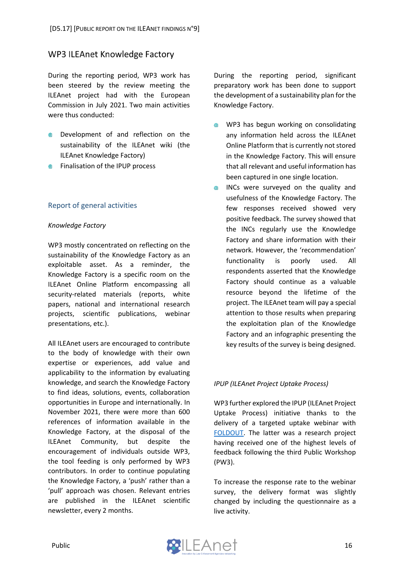### <span id="page-15-0"></span>**WP3 ILEAnet Knowledge Factory**

During the reporting period, WP3 work has been steered by the review meeting the ILEAnet project had with the European Commission in July 2021. Two main activities were thus conducted:

- Development of and reflection on the ⋒ sustainability of the ILEAnet wiki (the ILEAnet Knowledge Factory)
- **Finalisation of the IPUP process**

#### <span id="page-15-1"></span>Report of general activities

#### *Knowledge Factory*

WP3 mostly concentrated on reflecting on the sustainability of the Knowledge Factory as an exploitable asset. As a reminder, the Knowledge Factory is a specific room on the ILEAnet Online Platform encompassing all security-related materials (reports, white papers, national and international research projects, scientific publications, webinar presentations, etc.).

All ILEAnet users are encouraged to contribute to the body of knowledge with their own expertise or experiences, add value and applicability to the information by evaluating knowledge, and search the Knowledge Factory to find ideas, solutions, events, collaboration opportunities in Europe and internationally. In November 2021, there were more than 600 references of information available in the Knowledge Factory, at the disposal of the ILEAnet Community, but despite the encouragement of individuals outside WP3, the tool feeding is only performed by WP3 contributors. In order to continue populating the Knowledge Factory, a 'push' rather than a 'pull' approach was chosen. Relevant entries are published in the ILEAnet scientific newsletter, every 2 months.

During the reporting period, significant preparatory work has been done to support the development of a sustainability plan for the Knowledge Factory.

- WP3 has begun working on consolidating any information held across the ILEAnet Online Platform that is currently not stored in the Knowledge Factory. This will ensure that all relevant and useful information has been captured in one single location.
- INCs were surveyed on the quality and ● usefulness of the Knowledge Factory. The few responses received showed very positive feedback. The survey showed that the INCs regularly use the Knowledge Factory and share information with their network. However, the 'recommendation' functionality is poorly used. All respondents asserted that the Knowledge Factory should continue as a valuable resource beyond the lifetime of the project. The ILEAnet team will pay a special attention to those results when preparing the exploitation plan of the Knowledge Factory and an infographic presenting the key results of the survey is being designed.

#### *IPUP (ILEAnet Project Uptake Process)*

WP3 further explored the IPUP (ILEAnet Project Uptake Process) initiative thanks to the delivery of a targeted uptake webinar with [FOLDOUT.](https://foldout.eu/) The latter was a research project having received one of the highest levels of feedback following the third Public Workshop (PW3).

To increase the response rate to the webinar survey, the delivery format was slightly changed by including the questionnaire as a live activity.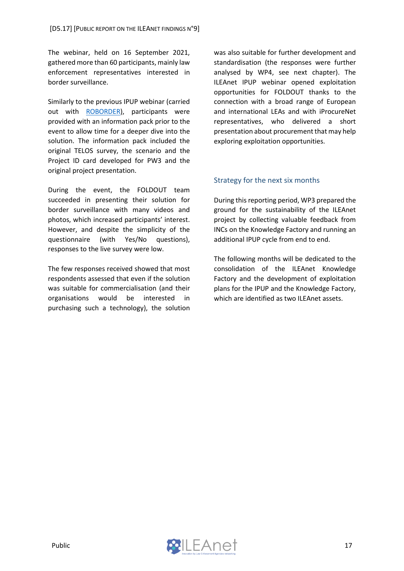The webinar, held on 16 September 2021, gathered more than 60 participants, mainly law enforcement representatives interested in border surveillance.

Similarly to the previous IPUP webinar (carried out with [ROBORDER\)](https://roborder.eu/), participants were provided with an information pack prior to the event to allow time for a deeper dive into the solution. The information pack included the original TELOS survey, the scenario and the Project ID card developed for PW3 and the original project presentation.

During the event, the FOLDOUT team succeeded in presenting their solution for border surveillance with many videos and photos, which increased participants' interest. However, and despite the simplicity of the questionnaire (with Yes/No questions), responses to the live survey were low.

The few responses received showed that most respondents assessed that even if the solution was suitable for commercialisation (and their organisations would be interested in purchasing such a technology), the solution was also suitable for further development and standardisation (the responses were further analysed by WP4, see next chapter). The ILEAnet IPUP webinar opened exploitation opportunities for FOLDOUT thanks to the connection with a broad range of European and international LEAs and with iProcureNet representatives, who delivered a short presentation about procurement that may help exploring exploitation opportunities.

#### <span id="page-16-0"></span>Strategy for the next six months

During this reporting period, WP3 prepared the ground for the sustainability of the ILEAnet project by collecting valuable feedback from INCs on the Knowledge Factory and running an additional IPUP cycle from end to end.

The following months will be dedicated to the consolidation of the ILEAnet Knowledge Factory and the development of exploitation plans for the IPUP and the Knowledge Factory, which are identified as two ILEAnet assets.

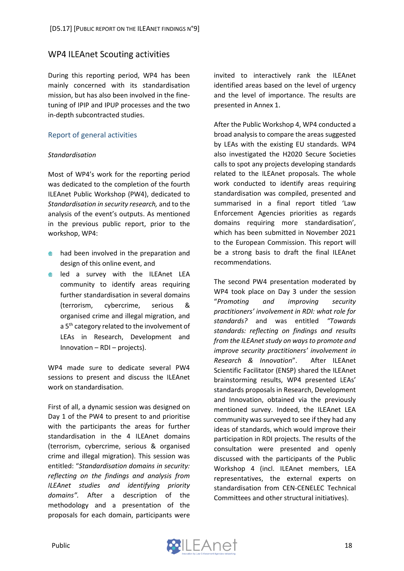### <span id="page-17-0"></span>**WP4 ILEAnet Scouting activities**

During this reporting period, WP4 has been mainly concerned with its standardisation mission, but has also been involved in the finetuning of IPIP and IPUP processes and the two in-depth subcontracted studies.

#### <span id="page-17-1"></span>Report of general activities

#### *Standardisation*

Most of WP4's work for the reporting period was dedicated to the completion of the fourth ILEAnet Public Workshop (PW4), dedicated to *Standardisation in security research,* and to the analysis of the event's outputs. As mentioned in the previous public report, prior to the workshop, WP4:

- **a** had been involved in the preparation and design of this online event, and
- **e** led a survey with the ILEAnet LEA community to identify areas requiring further standardisation in several domains (terrorism, cybercrime, serious & organised crime and illegal migration, and a 5<sup>th</sup> category related to the involvement of LEAs in Research, Development and Innovation – RDI – projects).

WP4 made sure to dedicate several PW4 sessions to present and discuss the ILEAnet work on standardisation.

First of all, a dynamic session was designed on Day 1 of the PW4 to present to and prioritise with the participants the areas for further standardisation in the 4 ILEAnet domains (terrorism, cybercrime, serious & organised crime and illegal migration). This session was entitled: "*Standardisation domains in security: reflecting on the findings and analysis from ILEAnet studies and identifying priority domains".* After a description of the methodology and a presentation of the proposals for each domain, participants were

invited to interactively rank the ILEAnet identified areas based on the level of urgency and the level of importance. The results are presented in Annex 1.

After the Public Workshop 4, WP4 conducted a broad analysis to compare the areas suggested by LEAs with the existing EU standards. WP4 also investigated the H2020 Secure Societies calls to spot any projects developing standards related to the ILEAnet proposals. The whole work conducted to identify areas requiring standardisation was compiled, presented and summarised in a final report titled 'Law Enforcement Agencies priorities as regards domains requiring more standardisation', which has been submitted in November 2021 to the European Commission. This report will be a strong basis to draft the final ILEAnet recommendations.

The second PW4 presentation moderated by WP4 took place on Day 3 under the session "*Promoting and improving security practitioners' involvement in RDI: what role for standards?* and was entitled *"Towards standards: reflecting on findings and results from the ILEAnet study on ways to promote and improve security practitioners' involvement in Research & Innovation*". After ILEAnet Scientific Facilitator (ENSP) shared the ILEAnet brainstorming results, WP4 presented LEAs' standards proposals in Research, Development and Innovation, obtained via the previously mentioned survey. Indeed, the ILEAnet LEA community was surveyed to see if they had any ideas of standards, which would improve their participation in RDI projects. The results of the consultation were presented and openly discussed with the participants of the Public Workshop 4 (incl. ILEAnet members, LEA representatives, the external experts on standardisation from CEN-CENELEC Technical Committees and other structural initiatives).

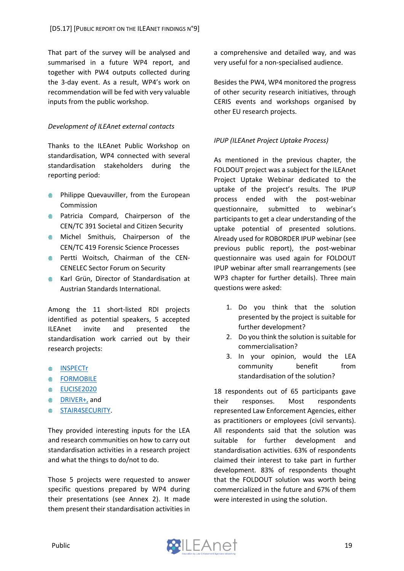That part of the survey will be analysed and summarised in a future WP4 report, and together with PW4 outputs collected during the 3-day event. As a result, WP4's work on recommendation will be fed with very valuable inputs from the public workshop.

#### *Development of ILEAnet external contacts*

Thanks to the ILEAnet Public Workshop on standardisation, WP4 connected with several standardisation stakeholders during the reporting period:

- **Philippe Quevauviller, from the European** Commission
- **Patricia Compard, Chairperson of the** CEN/TC 391 Societal and Citizen Security
- **Michel Smithuis, Chairperson of the** CEN/TC 419 Forensic Science Processes
- **Pertti Woitsch, Chairman of the CEN-**CENELEC Sector Forum on Security
- **Karl Grün, Director of Standardisation at** Austrian Standards International.

Among the 11 short-listed RDI projects identified as potential speakers, 5 accepted ILEAnet invite and presented the standardisation work carried out by their research projects:

- ⊕ **[INSPECTr](http://inspectr-project.eu/)**
- **@** [FORMOBILE](https://formobile-project.eu/)
- **[EUCISE2020](https://ec.europa.eu/oceans-and-fisheries/ocean/blue-economy/other-sectors/common-information-sharing-environment-cise_en#:~:text=A%20significant%20action%20of%20CISE%20so%20far%20was,sharing%20across%20the%20seven%20relevant%20maritime%20sectors%2Fuser%20communities.)**
- [DRIVER+,](https://www.driver-project.eu/) and
- $\blacksquare$ [STAIR4SECURITY.](https://cordis.europa.eu/project/id/853853)

They provided interesting inputs for the LEA and research communities on how to carry out standardisation activities in a research project and what the things to do/not to do.

Those 5 projects were requested to answer specific questions prepared by WP4 during their presentations (see Annex 2). It made them present their standardisation activities in a comprehensive and detailed way, and was very useful for a non-specialised audience.

Besides the PW4, WP4 monitored the progress of other security research initiatives, through CERIS events and workshops organised by other EU research projects.

#### *IPUP (ILEAnet Project Uptake Process)*

As mentioned in the previous chapter, the FOLDOUT project was a subject for the ILEAnet Project Uptake Webinar dedicated to the uptake of the project's results. The IPUP process ended with the post-webinar questionnaire, submitted to webinar's participants to get a clear understanding of the uptake potential of presented solutions. Already used for ROBORDER IPUP webinar (see previous public report), the post-webinar questionnaire was used again for FOLDOUT IPUP webinar after small rearrangements (see WP3 chapter for further details). Three main questions were asked:

- 1. Do you think that the solution presented by the project is suitable for further development?
- 2. Do you think the solution is suitable for commercialisation?
- 3. In your opinion, would the LEA community benefit from standardisation of the solution?

18 respondents out of 65 participants gave their responses. Most respondents represented Law Enforcement Agencies, either as practitioners or employees (civil servants). All respondents said that the solution was suitable for further development and standardisation activities. 63% of respondents claimed their interest to take part in further development. 83% of respondents thought that the FOLDOUT solution was worth being commercialized in the future and 67% of them were interested in using the solution.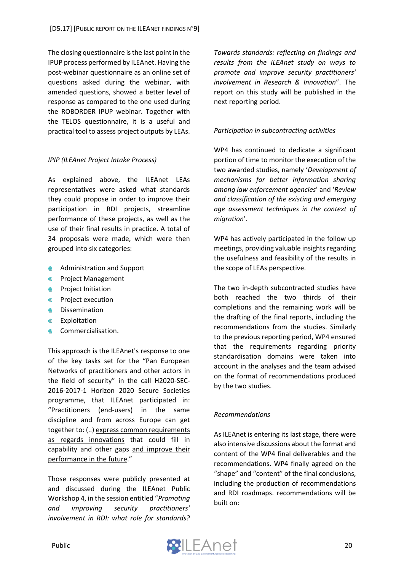The closing questionnaire isthe last point in the IPUP process performed by ILEAnet. Having the post-webinar questionnaire as an online set of questions asked during the webinar, with amended questions, showed a better level of response as compared to the one used during the ROBORDER IPUP webinar. Together with the TELOS questionnaire, it is a useful and practical tool to assess project outputs by LEAs.

#### *IPIP (ILEAnet Project Intake Process)*

As explained above, the ILEAnet LEAs representatives were asked what standards they could propose in order to improve their participation in RDI projects, streamline performance of these projects, as well as the use of their final results in practice. A total of 34 proposals were made, which were then grouped into six categories:

- **●** Administration and Support
- **Project Management**
- **A** Project Initiation
- **Project execution**
- **<sup>■</sup>** Dissemination
- **Exploitation**
- Commercialisation.

This approach is the ILEAnet's response to one of the key tasks set for the "Pan European Networks of practitioners and other actors in the field of security" in the call H2020-SEC-2016-2017-1 Horizon 2020 Secure Societies programme, that ILEAnet participated in: "Practitioners (end-users) in the same discipline and from across Europe can get together to: (..) express common requirements as regards innovations that could fill in capability and other gaps and improve their performance in the future."

Those responses were publicly presented at and discussed during the ILEAnet Public Workshop 4, in the session entitled "*Promoting and improving security practitioners' involvement in RDI: what role for standards?* *Towards standards: reflecting on findings and results from the ILEAnet study on ways to promote and improve security practitioners' involvement in Research & Innovation*". The report on this study will be published in the next reporting period.

#### *Participation in subcontracting activities*

WP4 has continued to dedicate a significant portion of time to monitor the execution of the two awarded studies, namely '*Development of mechanisms for better information sharing among law enforcement agencies*' and '*Review and classification of the existing and emerging age assessment techniques in the context of migration*'.

WP4 has actively participated in the follow up meetings, providing valuable insights regarding the usefulness and feasibility of the results in the scope of LEAs perspective.

The two in-depth subcontracted studies have both reached the two thirds of their completions and the remaining work will be the drafting of the final reports, including the recommendations from the studies. Similarly to the previous reporting period, WP4 ensured that the requirements regarding priority standardisation domains were taken into account in the analyses and the team advised on the format of recommendations produced by the two studies.

#### *Recommendations*

As ILEAnet is entering its last stage, there were also intensive discussions about the format and content of the WP4 final deliverables and the recommendations. WP4 finally agreed on the "shape" and "content" of the final conclusions, including the production of recommendations and RDI roadmaps. recommendations will be built on:

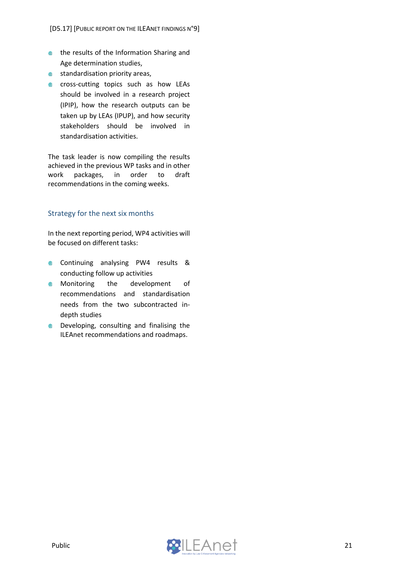- the results of the Information Sharing and Age determination studies,
- **standardisation priority areas,**
- **e** cross-cutting topics such as how LEAs should be involved in a research project (IPIP), how the research outputs can be taken up by LEAs (IPUP), and how security stakeholders should be involved in standardisation activities.

The task leader is now compiling the results achieved in the previous WP tasks and in other work packages, in order to draft recommendations in the coming weeks.

### <span id="page-20-0"></span>Strategy for the next six months

In the next reporting period, WP4 activities will be focused on different tasks:

- **Continuing analysing PW4 results &** conducting follow up activities
- **Monitoring** the development of recommendations and standardisation needs from the two subcontracted indepth studies
- **Developing, consulting and finalising the** ILEAnet recommendations and roadmaps.

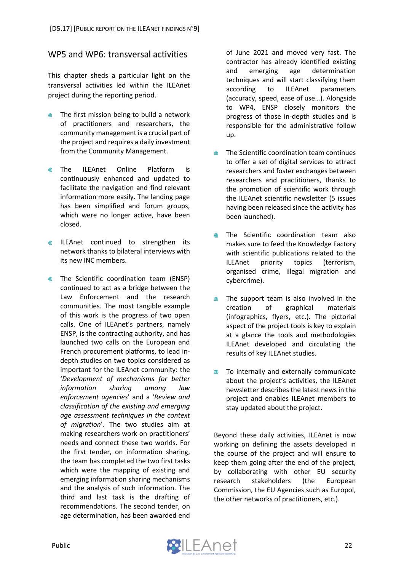# <span id="page-21-0"></span>WP5 and WP6: transversal activities

This chapter sheds a particular light on the transversal activities led within the ILEAnet project during the reporting period.

- The first mission being to build a network ⋒ of practitioners and researchers, the community management is a crucial part of the project and requires a daily investment from the Community Management.
- $\blacksquare$ The ILEAnet Online Platform is continuously enhanced and updated to facilitate the navigation and find relevant information more easily. The landing page has been simplified and forum groups, which were no longer active, have been closed.
- **ILEAnet continued to strengthen its** network thanks to bilateral interviews with its new INC members.
- **The Scientific coordination team (ENSP)** continued to act as a bridge between the Law Enforcement and the research communities. The most tangible example of this work is the progress of two open calls. One of ILEAnet's partners, namely ENSP, is the contracting authority, and has launched two calls on the European and French procurement platforms, to lead indepth studies on two topics considered as important for the ILEAnet community: the '*Development of mechanisms for better information sharing among law enforcement agencies*' and a '*Review and classification of the existing and emerging age assessment techniques in the context of migration*'. The two studies aim at making researchers work on practitioners' needs and connect these two worlds. For the first tender, on information sharing, the team has completed the two first tasks which were the mapping of existing and emerging information sharing mechanisms and the analysis of such information. The third and last task is the drafting of recommendations. The second tender, on age determination, has been awarded end

of June 2021 and moved very fast. The contractor has already identified existing and emerging age determination techniques and will start classifying them according to ILEAnet parameters (accuracy, speed, ease of use…). Alongside to WP4, ENSP closely monitors the progress of those in-depth studies and is responsible for the administrative follow up.

- The Scientific coordination team continues æ. to offer a set of digital services to attract researchers and foster exchanges between researchers and practitioners, thanks to the promotion of scientific work through the ILEAnet scientific newsletter (5 issues having been released since the activity has been launched).
- The Scientific coordination team also  $\qquad \qquad \circledast$ makes sure to feed the Knowledge Factory with scientific publications related to the ILEAnet priority topics (terrorism, organised crime, illegal migration and cybercrime).
- The support team is also involved in the  $\oplus$ creation of graphical materials (infographics, flyers, etc.). The pictorial aspect of the project tools is key to explain at a glance the tools and methodologies ILEAnet developed and circulating the results of key ILEAnet studies.
- To internally and externally communicate ● about the project's activities, the ILEAnet newsletter describes the latest news in the project and enables ILEAnet members to stay updated about the project.

Beyond these daily activities, ILEAnet is now working on defining the assets developed in the course of the project and will ensure to keep them going after the end of the project, by collaborating with other EU security research stakeholders (the European Commission, the EU Agencies such as Europol, the other networks of practitioners, etc.).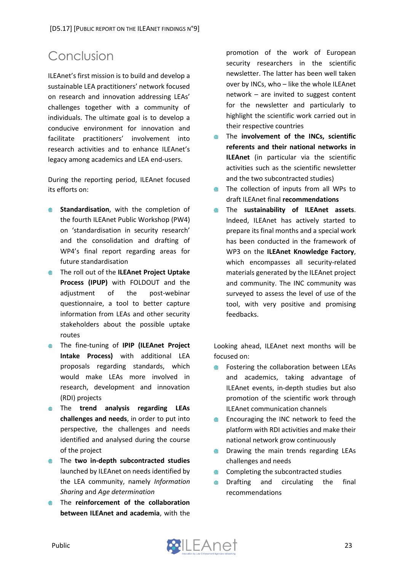# <span id="page-22-0"></span>Conclusion

ILEAnet's first mission is to build and develop a sustainable LEA practitioners' network focused on research and innovation addressing LEAs' challenges together with a community of individuals. The ultimate goal is to develop a conducive environment for innovation and facilitate practitioners' involvement into research activities and to enhance ILEAnet's legacy among academics and LEA end-users.

During the reporting period, ILEAnet focused its efforts on:

- **Standardisation**, with the completion of the fourth ILEAnet Public Workshop (PW4) on 'standardisation in security research' and the consolidation and drafting of WP4's final report regarding areas for future standardisation
- The roll out of the **ILEAnet Project Uptake Process (IPUP)** with FOLDOUT and the adjustment of the post-webinar questionnaire, a tool to better capture information from LEAs and other security stakeholders about the possible uptake routes
- The fine-tuning of **IPIP (ILEAnet Project Intake Process)** with additional LEA proposals regarding standards, which would make LEAs more involved in research, development and innovation (RDI) projects
- The **trend analysis regarding LEAs challenges and needs**, in order to put into perspective, the challenges and needs identified and analysed during the course of the project
- The **two in-depth subcontracted studies** launched by ILEAnet on needs identified by the LEA community, namely *Information Sharing* and *Age determination*
- The **reinforcement of the collaboration between ILEAnet and academia**, with the

promotion of the work of European security researchers in the scientific newsletter. The latter has been well taken over by INCs, who – like the whole ILEAnet network – are invited to suggest content for the newsletter and particularly to highlight the scientific work carried out in their respective countries

- The **involvement of the INCs, scientific referents and their national networks in ILEAnet** (in particular via the scientific activities such as the scientific newsletter and the two subcontracted studies)
- The collection of inputs from all WPs to  $\oplus$ draft ILEAnet final **recommendations**
- $\oplus$ The **sustainability of ILEAnet assets**. Indeed, ILEAnet has actively started to prepare its final months and a special work has been conducted in the framework of WP3 on the **ILEAnet Knowledge Factory**, which encompasses all security-related materials generated by the ILEAnet project and community. The INC community was surveyed to assess the level of use of the tool, with very positive and promising feedbacks.

Looking ahead, ILEAnet next months will be focused on:

- Fostering the collaboration between LEAs and academics, taking advantage of ILEAnet events, in-depth studies but also promotion of the scientific work through ILEAnet communication channels
- Encouraging the INC network to feed the  $\blacksquare$ platform with RDI activities and make their national network grow continuously
- Drawing the main trends regarding LEAs  $\oplus$ challenges and needs
- Completing the subcontracted studies
- Drafting and circulating the final  $\oplus$ recommendations

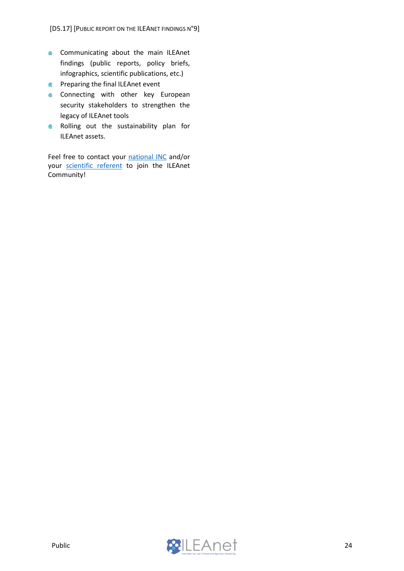- **Communicating about the main ILEAnet** findings (public reports, policy briefs, infographics, scientific publications, etc.)
- **Preparing the final ILEAnet event**
- **Connecting with other key European** security stakeholders to strengthen the legacy of ILEAnet tools
- **Rolling out the sustainability plan for** ILEAnet assets.

Feel free to contact your [national INC](https://www.ileanet.eu/ileanet-national-contacts/) and/or your [scientific referent](https://www.ileanet.eu/ileanet-scientific-community/) to join the ILEAnet Community!

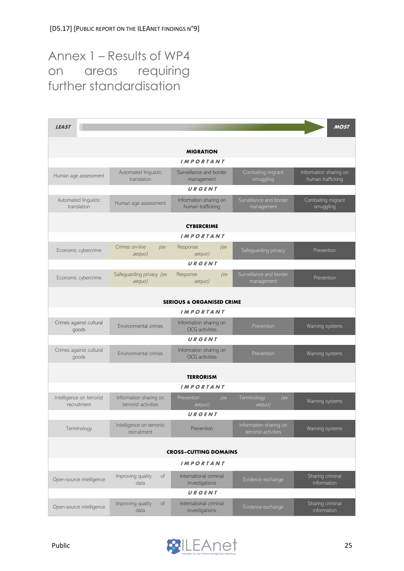# <span id="page-24-0"></span>Annex 1 – Results of WP4 on areas requiring further standardisation

| <b>LEAST</b>                             |                                                |                                                 |                                                | <b>MOST</b>                                 |  |  |
|------------------------------------------|------------------------------------------------|-------------------------------------------------|------------------------------------------------|---------------------------------------------|--|--|
|                                          |                                                |                                                 |                                                |                                             |  |  |
|                                          |                                                | <b>MIGRATION</b>                                |                                                |                                             |  |  |
|                                          |                                                | <b>IMPORTANT</b>                                |                                                |                                             |  |  |
| Human age assessment                     | Automated linguistic<br>translation            | Surveillance and border<br>management           | Combating migrant<br>smuggling                 | Information sharing on<br>human trafficking |  |  |
|                                          |                                                | URGENT                                          |                                                |                                             |  |  |
| Automated linguistic<br>translation      | Human age assessment                           | Information sharing on<br>human trafficking     | Surveillance and border<br>management          | Combating migrant<br>smuggling              |  |  |
|                                          |                                                | <b>CYBERCRIME</b>                               |                                                |                                             |  |  |
|                                          |                                                | <b>IMPORTANT</b>                                |                                                |                                             |  |  |
| Economic cybercrime                      | Crimes on-line<br>(ex<br>aequo)                | Response<br>(ex<br>aequo)                       | Safeguarding privacy                           | Prevention                                  |  |  |
|                                          |                                                | URGENT                                          |                                                |                                             |  |  |
| Economic cybercrime                      | Safeguarding privacy (ex<br>aequo)             | Response<br>(ex<br>aequo)                       | Surveillance and border<br>management          | Prevention                                  |  |  |
|                                          |                                                |                                                 |                                                |                                             |  |  |
|                                          |                                                | <b>SERIOUS &amp; ORGANISED CRIME</b>            |                                                |                                             |  |  |
|                                          |                                                | <b>IMPORTANT</b>                                |                                                |                                             |  |  |
| Crimes against cultural<br>goods         | Environmental crimes                           | Information sharing on<br><b>OCG</b> activities | Prevention                                     | Warning systems                             |  |  |
|                                          |                                                | URGENT                                          |                                                |                                             |  |  |
| Crimes against cultural<br>goods         | Environmental crimes                           | Information sharing on<br><b>OCG</b> activities | Prevention                                     | Warning systems                             |  |  |
|                                          |                                                | <b>TERRORISM</b>                                |                                                |                                             |  |  |
| <b>IMPORTANT</b>                         |                                                |                                                 |                                                |                                             |  |  |
| Intelligence on terrorist<br>recruitment | Information sharing on<br>terrorist activities | Prevention<br>(ex<br>aeguo)                     | Terminology<br>(ex<br>aequo)                   | Warning systems                             |  |  |
| URGENT                                   |                                                |                                                 |                                                |                                             |  |  |
| Terminology                              | Intelligence on terrorist<br>recruitment       | Prevention                                      | Information sharing on<br>terrorist activities | Warning systems                             |  |  |
| <b>CROSS-CUTTING DOMAINS</b>             |                                                |                                                 |                                                |                                             |  |  |
| <b>IMPORTANT</b>                         |                                                |                                                 |                                                |                                             |  |  |
| Open-source intelligence                 | Improving quality<br>of<br>data                | International criminal<br>investigations        | Evidence exchange                              | Sharing criminal<br>information             |  |  |
|                                          |                                                | URGENT                                          |                                                |                                             |  |  |
| Open-source intelligence                 | Improving quality<br>of<br>data                | International criminal<br>investigations        | Evidence exchange                              | Sharing criminal<br>information             |  |  |

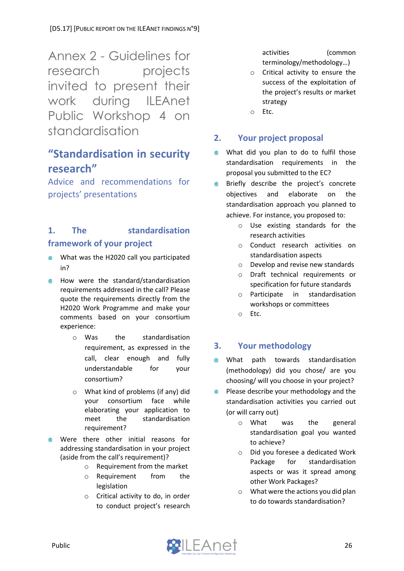<span id="page-25-0"></span>Annex 2 - Guidelines for research projects invited to present their work during ILEAnet Public Workshop 4 on standardisation

# **"Standardisation in security research"**

Advice and recommendations for projects' presentations

# **1. The standardisation framework of your project**

- What was the H2020 call you participated ⋒ in?
- How were the standard/standardisation am a requirements addressed in the call? Please quote the requirements directly from the H2020 Work Programme and make your comments based on your consortium experience:
	- o Was the standardisation requirement, as expressed in the call, clear enough and fully understandable for your consortium?
	- o What kind of problems (if any) did your consortium face while elaborating your application to meet the standardisation requirement?
- Were there other initial reasons for addressing standardisation in your project (aside from the call's requirement)?
	- $\circ$  Requirement from the market
	- o Requirement from the legislation
	- o Critical activity to do, in order to conduct project's research

activities (common terminology/methodology…)

- o Critical activity to ensure the success of the exploitation of the project's results or market strategy
- o Etc.

# **2. Your project proposal**

- $\qquad \qquad \oplus$ What did you plan to do to fulfil those standardisation requirements in the proposal you submitted to the EC?
- $\blacksquare$ Briefly describe the project's concrete objectives and elaborate on the standardisation approach you planned to achieve. For instance, you proposed to:
	- o Use existing standards for the research activities
	- o Conduct research activities on standardisation aspects
	- o Develop and revise new standards
	- o Draft technical requirements or specification for future standards
	- o Participate in standardisation workshops or committees
	- o Etc.

# **3. Your methodology**

- $\qquad \qquad \oplus$ What path towards standardisation (methodology) did you chose/ are you choosing/ will you choose in your project?
- Please describe your methodology and the  $\blacksquare$ standardisation activities you carried out (or will carry out)
	- o What was the general standardisation goal you wanted to achieve?
	- o Did you foresee a dedicated Work Package for standardisation aspects or was it spread among other Work Packages?
	- o What were the actions you did plan to do towards standardisation?

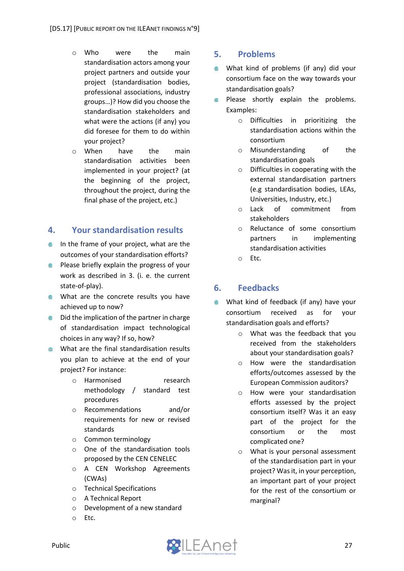- o Who were the main standardisation actors among your project partners and outside your project (standardisation bodies, professional associations, industry groups…)? How did you choose the standardisation stakeholders and what were the actions (if any) you did foresee for them to do within your project?
- o When have the main standardisation activities been implemented in your project? (at the beginning of the project, throughout the project, during the final phase of the project, etc.)

### **4. Your standardisation results**

- $\bullet$  In the frame of your project, what are the outcomes of your standardisation efforts?
- **Please briefly explain the progress of your** work as described in 3. (i. e. the current state-of-play).
- **What are the concrete results you have** achieved up to now?
- Did the implication of the partner in charge of standardisation impact technological choices in any way? If so, how?
- **What are the final standardisation results** you plan to achieve at the end of your project? For instance:
	- o Harmonised research methodology / standard test procedures
	- o Recommendations and/or requirements for new or revised standards
	- o Common terminology
	- o One of the standardisation tools proposed by the CEN CENELEC
	- o A CEN Workshop Agreements (CWAs)
	- o Technical Specifications
	- o A Technical Report
	- o Development of a new standard
	- o Etc.

### **5. Problems**

- What kind of problems (if any) did your  $\blacksquare$ consortium face on the way towards your standardisation goals?
- Please shortly explain the problems. ⋒ Examples:
	- o Difficulties in prioritizing the standardisation actions within the consortium
	- o Misunderstanding of the standardisation goals
	- o Difficulties in cooperating with the external standardisation partners (e.g standardisation bodies, LEAs, Universities, Industry, etc.)
	- o Lack of commitment from stakeholders
	- o Reluctance of some consortium partners in implementing standardisation activities
	- o Etc.

# **6. Feedbacks**

- $\qquad \qquad \oplus$ What kind of feedback (if any) have your consortium received as for your standardisation goals and efforts?
	- o What was the feedback that you received from the stakeholders about your standardisation goals?
	- o How were the standardisation efforts/outcomes assessed by the European Commission auditors?
	- o How were your standardisation efforts assessed by the project consortium itself? Was it an easy part of the project for the consortium or the most complicated one?
	- o What is your personal assessment of the standardisation part in your project? Was it, in your perception, an important part of your project for the rest of the consortium or marginal?